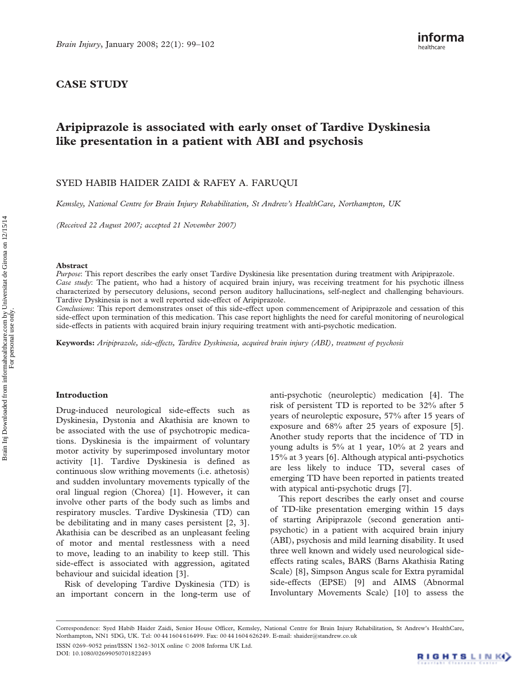## CASE STUDY

# Aripiprazole is associated with early onset of Tardive Dyskinesia like presentation in a patient with ABI and psychosis

## SYED HABIB HAIDER ZAIDI & RAFEY A. FARUQUI

Kemsley, National Centre for Brain Injury Rehabilitation, St Andrew's HealthCare, Northampton, UK

(Received 22 August 2007; accepted 21 November 2007)

#### Abstract

Purpose: This report describes the early onset Tardive Dyskinesia like presentation during treatment with Aripiprazole. Case study: The patient, who had a history of acquired brain injury, was receiving treatment for his psychotic illness characterized by persecutory delusions, second person auditory hallucinations, self-neglect and challenging behaviours. Tardive Dyskinesia is not a well reported side-effect of Aripiprazole.

Conclusions: This report demonstrates onset of this side-effect upon commencement of Aripiprazole and cessation of this side-effect upon termination of this medication. This case report highlights the need for careful monitoring of neurological side-effects in patients with acquired brain injury requiring treatment with anti-psychotic medication.

Keywords: Aripiprazole, side-effects, Tardive Dyskinesia, acquired brain injury (ABI), treatment of psychosis

#### Introduction

Drug-induced neurological side-effects such as Dyskinesia, Dystonia and Akathisia are known to be associated with the use of psychotropic medications. Dyskinesia is the impairment of voluntary motor activity by superimposed involuntary motor activity [1]. Tardive Dyskinesia is defined as continuous slow writhing movements (i.e. athetosis) and sudden involuntary movements typically of the oral lingual region (Chorea) [1]. However, it can involve other parts of the body such as limbs and respiratory muscles. Tardive Dyskinesia (TD) can be debilitating and in many cases persistent [2, 3]. Akathisia can be described as an unpleasant feeling of motor and mental restlessness with a need to move, leading to an inability to keep still. This side-effect is associated with aggression, agitated behaviour and suicidal ideation [3].

Risk of developing Tardive Dyskinesia (TD) is an important concern in the long-term use of

anti-psychotic (neuroleptic) medication [4]. The risk of persistent TD is reported to be 32% after 5 years of neuroleptic exposure, 57% after 15 years of exposure and 68% after 25 years of exposure [5]. Another study reports that the incidence of TD in young adults is 5% at 1 year, 10% at 2 years and 15% at 3 years [6]. Although atypical anti-psychotics are less likely to induce TD, several cases of emerging TD have been reported in patients treated with atypical anti-psychotic drugs [7].

This report describes the early onset and course of TD-like presentation emerging within 15 days of starting Aripiprazole (second generation antipsychotic) in a patient with acquired brain injury (ABI), psychosis and mild learning disability. It used three well known and widely used neurological sideeffects rating scales, BARS (Barns Akathisia Rating Scale) [8], Simpson Angus scale for Extra pyramidal side-effects (EPSE) [9] and AIMS (Abnormal Involuntary Movements Scale) [10] to assess the

Correspondence: Syed Habib Haider Zaidi, Senior House Officer, Kemsley, National Centre for Brain Injury Rehabilitation, St Andrew's HealthCare, Northampton, NN1 5DG, UK. Tel: 00 44 1604 616499. Fax: 00 44 1604 626249. E-mail: shaider@standrew.co.uk

ISSN 0269–9052 print/ISSN 1362–301X online 2008 Informa UK Ltd. DOI: 10.1080/02699050701822493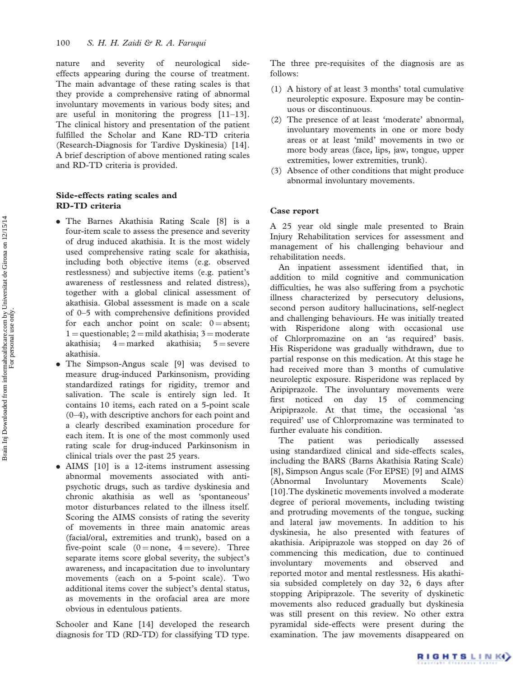nature and severity of neurological sideeffects appearing during the course of treatment. The main advantage of these rating scales is that they provide a comprehensive rating of abnormal involuntary movements in various body sites; and are useful in monitoring the progress [11–13]. The clinical history and presentation of the patient fulfilled the Scholar and Kane RD-TD criteria (Research-Diagnosis for Tardive Dyskinesia) [14]. A brief description of above mentioned rating scales and RD-TD criteria is provided.

## Side-effects rating scales and RD-TD criteria

- . The Barnes Akathisia Rating Scale [8] is a four-item scale to assess the presence and severity of drug induced akathisia. It is the most widely used comprehensive rating scale for akathisia, including both objective items (e.g. observed restlessness) and subjective items (e.g. patient's awareness of restlessness and related distress), together with a global clinical assessment of akathisia. Global assessment is made on a scale of 0–5 with comprehensive definitions provided for each anchor point on scale:  $0 =$ absent;  $1 =$ questionable;  $2 =$ mild akathisia;  $3 =$ moderate akathisia;  $4 =$ marked akathisia;  $5 =$ severe akathisia.
- . The Simpson-Angus scale [9] was devised to measure drug-induced Parkinsonism, providing standardized ratings for rigidity, tremor and salivation. The scale is entirely sign led. It contains 10 items, each rated on a 5-point scale (0–4), with descriptive anchors for each point and a clearly described examination procedure for each item. It is one of the most commonly used rating scale for drug-induced Parkinsonism in clinical trials over the past 25 years.
- AIMS [10] is a 12-items instrument assessing abnormal movements associated with antipsychotic drugs, such as tardive dyskinesia and chronic akathisia as well as 'spontaneous' motor disturbances related to the illness itself. Scoring the AIMS consists of rating the severity of movements in three main anatomic areas (facial/oral, extremities and trunk), based on a five-point scale  $(0 = none, 4 = severe)$ . Three separate items score global severity, the subject's awareness, and incapacitation due to involuntary movements (each on a 5-point scale). Two additional items cover the subject's dental status, as movements in the orofacial area are more obvious in edentulous patients.

Schooler and Kane [14] developed the research diagnosis for TD (RD-TD) for classifying TD type. The three pre-requisites of the diagnosis are as follows:

- (1) A history of at least 3 months' total cumulative neuroleptic exposure. Exposure may be continuous or discontinuous.
- (2) The presence of at least 'moderate' abnormal, involuntary movements in one or more body areas or at least 'mild' movements in two or more body areas (face, lips, jaw, tongue, upper extremities, lower extremities, trunk).
- (3) Absence of other conditions that might produce abnormal involuntary movements.

#### Case report

A 25 year old single male presented to Brain Injury Rehabilitation services for assessment and management of his challenging behaviour and rehabilitation needs.

An inpatient assessment identified that, in addition to mild cognitive and communication difficulties, he was also suffering from a psychotic illness characterized by persecutory delusions, second person auditory hallucinations, self-neglect and challenging behaviours. He was initially treated with Risperidone along with occasional use of Chlorpromazine on an 'as required' basis. His Risperidone was gradually withdrawn, due to partial response on this medication. At this stage he had received more than 3 months of cumulative neuroleptic exposure. Risperidone was replaced by Aripiprazole. The involuntary movements were first noticed on day 15 of commencing Aripiprazole. At that time, the occasional 'as required' use of Chlorpromazine was terminated to further evaluate his condition.

The patient was periodically assessed using standardized clinical and side-effects scales, including the BARS (Barns Akathisia Rating Scale) [8], Simpson Angus scale (For EPSE) [9] and AIMS (Abnormal Involuntary Movements Scale) [10].The dyskinetic movements involved a moderate degree of perioral movements, including twisting and protruding movements of the tongue, sucking and lateral jaw movements. In addition to his dyskinesia, he also presented with features of akathisia. Aripiprazole was stopped on day 26 of commencing this medication, due to continued involuntary movements and observed and reported motor and mental restlessness. His akathisia subsided completely on day 32, 6 days after stopping Aripiprazole. The severity of dyskinetic movements also reduced gradually but dyskinesia was still present on this review. No other extra pyramidal side-effects were present during the examination. The jaw movements disappeared on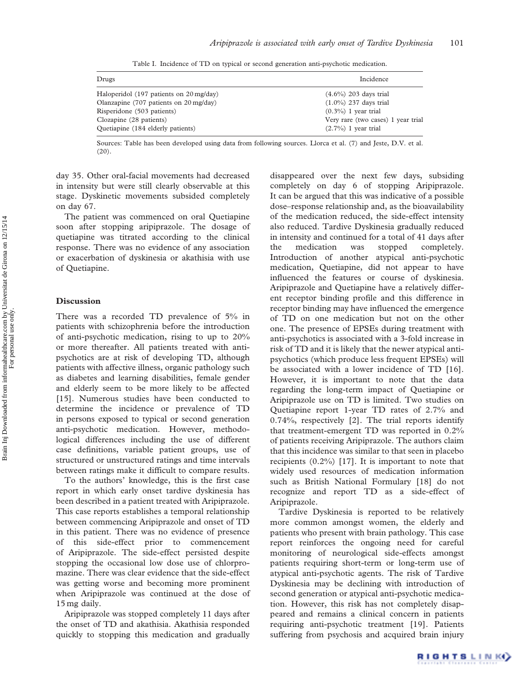| Drugs                                   | Incidence                          |
|-----------------------------------------|------------------------------------|
| Haloperidol (197 patients on 20 mg/day) | (4.6%) 203 days trial              |
| Olanzapine (707 patients on 20 mg/day)  | $(1.0\%)$ 237 days trial           |
| Risperidone (503 patients)              | $(0.3\%)$ 1 year trial             |
| Clozapine (28 patients)                 | Very rare (two cases) 1 year trial |
| Quetiapine (184 elderly patients)       | $(2.7\%)$ 1 year trial             |

Table I. Incidence of TD on typical or second generation anti-psychotic medication.

Sources: Table has been developed using data from following sources. Llorca et al. (7) and Jeste, D.V. et al. (20).

day 35. Other oral-facial movements had decreased in intensity but were still clearly observable at this stage. Dyskinetic movements subsided completely on day 67.

The patient was commenced on oral Quetiapine soon after stopping aripiprazole. The dosage of quetiapine was titrated according to the clinical response. There was no evidence of any association or exacerbation of dyskinesia or akathisia with use of Quetiapine.

### Discussion

There was a recorded TD prevalence of 5% in patients with schizophrenia before the introduction of anti-psychotic medication, rising to up to 20% or more thereafter. All patients treated with antipsychotics are at risk of developing TD, although patients with affective illness, organic pathology such as diabetes and learning disabilities, female gender and elderly seem to be more likely to be affected [15]. Numerous studies have been conducted to determine the incidence or prevalence of TD in persons exposed to typical or second generation anti-psychotic medication. However, methodological differences including the use of different case definitions, variable patient groups, use of structured or unstructured ratings and time intervals between ratings make it difficult to compare results.

To the authors' knowledge, this is the first case report in which early onset tardive dyskinesia has been described in a patient treated with Aripiprazole. This case reports establishes a temporal relationship between commencing Aripiprazole and onset of TD in this patient. There was no evidence of presence of this side-effect prior to commencement of Aripiprazole. The side-effect persisted despite stopping the occasional low dose use of chlorpromazine. There was clear evidence that the side-effect was getting worse and becoming more prominent when Aripiprazole was continued at the dose of 15 mg daily.

Aripiprazole was stopped completely 11 days after the onset of TD and akathisia. Akathisia responded quickly to stopping this medication and gradually

disappeared over the next few days, subsiding completely on day 6 of stopping Aripiprazole. It can be argued that this was indicative of a possible dose–response relationship and, as the bioavailability of the medication reduced, the side-effect intensity also reduced. Tardive Dyskinesia gradually reduced in intensity and continued for a total of 41 days after the medication was stopped completely. Introduction of another atypical anti-psychotic medication, Quetiapine, did not appear to have influenced the features or course of dyskinesia. Aripiprazole and Quetiapine have a relatively different receptor binding profile and this difference in receptor binding may have influenced the emergence of TD on one medication but not on the other one. The presence of EPSEs during treatment with anti-psychotics is associated with a 3-fold increase in risk of TD and it is likely that the newer atypical antipsychotics (which produce less frequent EPSEs) will be associated with a lower incidence of TD [16]. However, it is important to note that the data regarding the long-term impact of Quetiapine or Aripiprazole use on TD is limited. Two studies on Quetiapine report 1-year TD rates of 2.7% and 0.74%, respectively [2]. The trial reports identify that treatment-emergent TD was reported in 0.2% of patients receiving Aripiprazole. The authors claim that this incidence was similar to that seen in placebo recipients  $(0.2\%)$  [17]. It is important to note that widely used resources of medication information such as British National Formulary [18] do not recognize and report TD as a side-effect of Aripiprazole.

Tardive Dyskinesia is reported to be relatively more common amongst women, the elderly and patients who present with brain pathology. This case report reinforces the ongoing need for careful monitoring of neurological side-effects amongst patients requiring short-term or long-term use of atypical anti-psychotic agents. The risk of Tardive Dyskinesia may be declining with introduction of second generation or atypical anti-psychotic medication. However, this risk has not completely disappeared and remains a clinical concern in patients requiring anti-psychotic treatment [19]. Patients suffering from psychosis and acquired brain injury